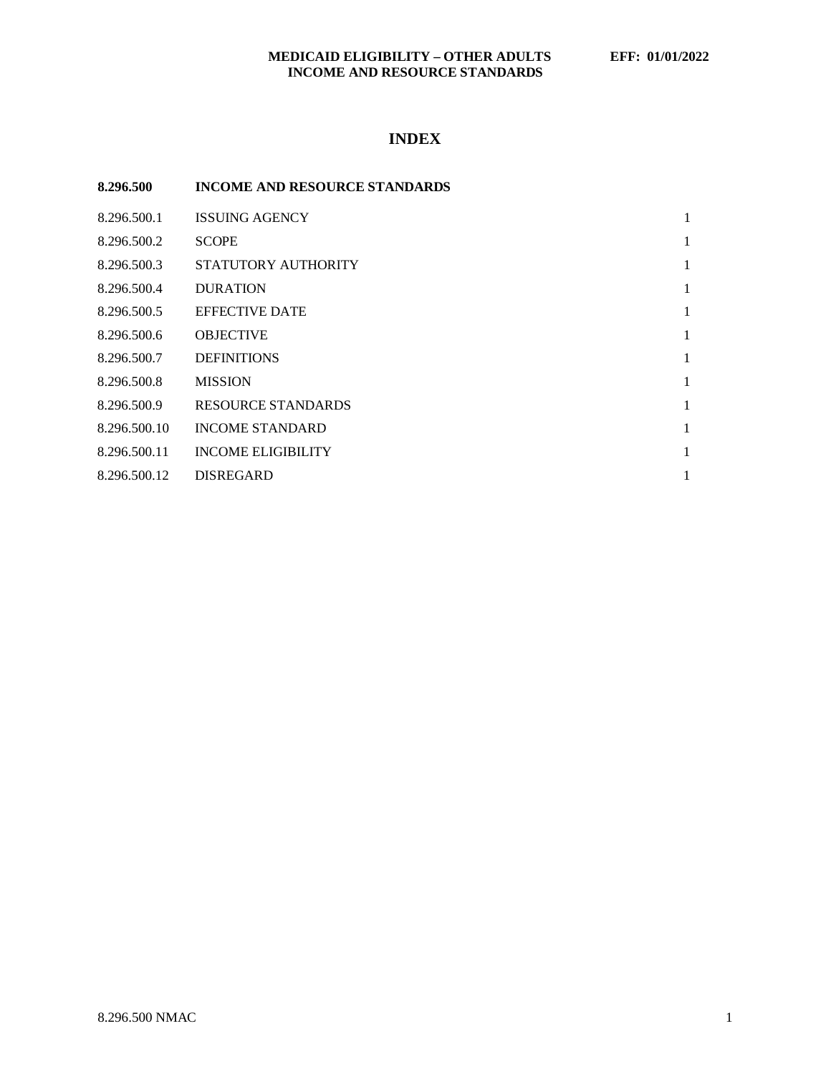## **MEDICAID ELIGIBILITY – OTHER ADULTS EFF: 01/01/2022 INCOME AND RESOURCE STANDARDS**

# **INDEX**

| 8.296.500    | <b>INCOME AND RESOURCE STANDARDS</b> |   |
|--------------|--------------------------------------|---|
| 8.296.500.1  | <b>ISSUING AGENCY</b>                | 1 |
| 8.296.500.2  | <b>SCOPE</b>                         | 1 |
| 8.296.500.3  | STATUTORY AUTHORITY                  | 1 |
| 8.296.500.4  | <b>DURATION</b>                      | 1 |
| 8.296.500.5  | <b>EFFECTIVE DATE</b>                | 1 |
| 8.296.500.6  | <b>OBJECTIVE</b>                     | 1 |
| 8.296.500.7  | <b>DEFINITIONS</b>                   | 1 |
| 8.296.500.8  | <b>MISSION</b>                       | 1 |
| 8.296.500.9  | RESOURCE STANDARDS                   | 1 |
| 8.296.500.10 | <b>INCOME STANDARD</b>               | 1 |
| 8.296.500.11 | <b>INCOME ELIGIBILITY</b>            | 1 |
| 8.296.500.12 | <b>DISREGARD</b>                     | 1 |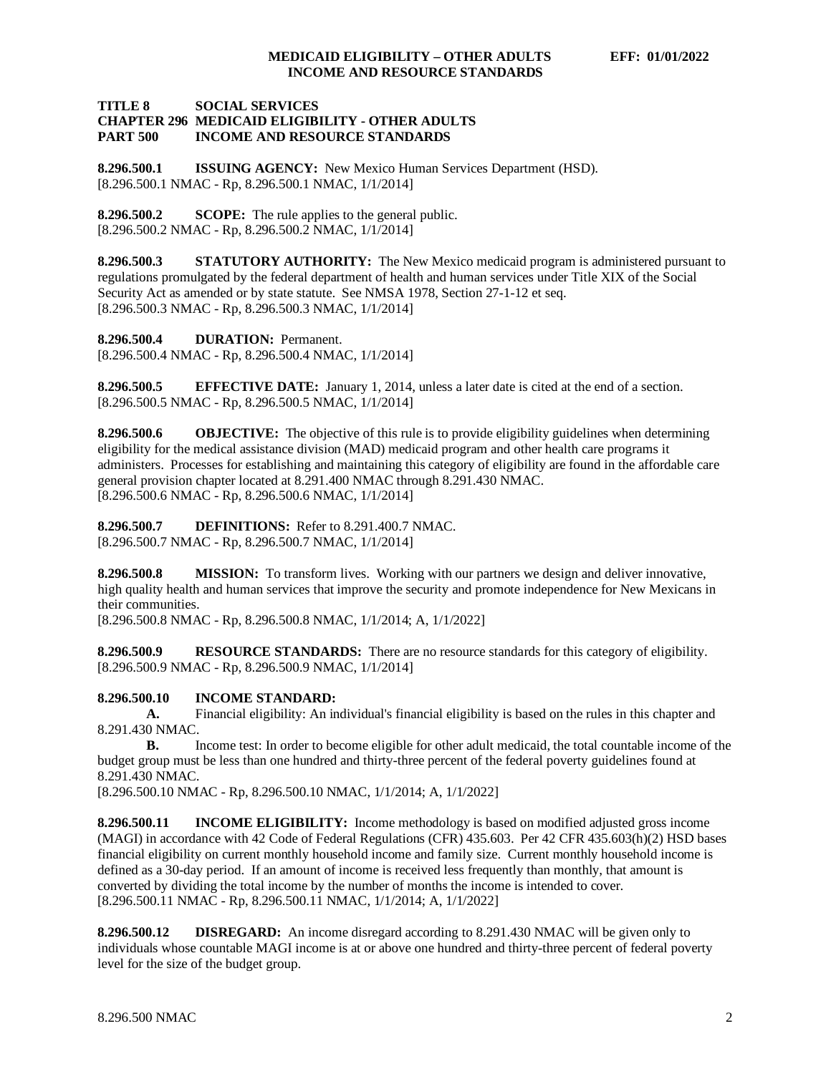#### **TITLE 8 SOCIAL SERVICES CHAPTER 296 MEDICAID ELIGIBILITY - OTHER ADULTS INCOME AND RESOURCE STANDARDS**

<span id="page-1-0"></span>**8.296.500.1 ISSUING AGENCY:** New Mexico Human Services Department (HSD). [8.296.500.1 NMAC - Rp, 8.296.500.1 NMAC, 1/1/2014]

<span id="page-1-1"></span>**8.296.500.2 SCOPE:** The rule applies to the general public. [8.296.500.2 NMAC - Rp, 8.296.500.2 NMAC, 1/1/2014]

<span id="page-1-2"></span>**8.296.500.3 STATUTORY AUTHORITY:** The New Mexico medicaid program is administered pursuant to regulations promulgated by the federal department of health and human services under Title XIX of the Social Security Act as amended or by state statute. See NMSA 1978, Section 27-1-12 et seq. [8.296.500.3 NMAC - Rp, 8.296.500.3 NMAC, 1/1/2014]

<span id="page-1-3"></span>**8.296.500.4 DURATION:** Permanent.

[8.296.500.4 NMAC - Rp, 8.296.500.4 NMAC, 1/1/2014]

<span id="page-1-4"></span>**8.296.500.5 EFFECTIVE DATE:** January 1, 2014, unless a later date is cited at the end of a section. [8.296.500.5 NMAC - Rp, 8.296.500.5 NMAC, 1/1/2014]

<span id="page-1-5"></span>**8.296.500.6 OBJECTIVE:** The objective of this rule is to provide eligibility guidelines when determining eligibility for the medical assistance division (MAD) medicaid program and other health care programs it administers. Processes for establishing and maintaining this category of eligibility are found in the affordable care general provision chapter located at 8.291.400 NMAC through 8.291.430 NMAC. [8.296.500.6 NMAC - Rp, 8.296.500.6 NMAC, 1/1/2014]

<span id="page-1-6"></span>**8.296.500.7 DEFINITIONS:** Refer to 8.291.400.7 NMAC. [8.296.500.7 NMAC - Rp, 8.296.500.7 NMAC, 1/1/2014]

<span id="page-1-7"></span>**8.296.500.8 MISSION:** To transform lives. Working with our partners we design and deliver innovative, high quality health and human services that improve the security and promote independence for New Mexicans in their communities.

[8.296.500.8 NMAC - Rp, 8.296.500.8 NMAC, 1/1/2014; A, 1/1/2022]

<span id="page-1-8"></span>**8.296.500.9 RESOURCE STANDARDS:** There are no resource standards for this category of eligibility. [8.296.500.9 NMAC - Rp, 8.296.500.9 NMAC, 1/1/2014]

#### <span id="page-1-9"></span>**8.296.500.10 INCOME STANDARD:**

**A.** Financial eligibility: An individual's financial eligibility is based on the rules in this chapter and 8.291.430 NMAC.

**B.** Income test: In order to become eligible for other adult medicaid, the total countable income of the budget group must be less than one hundred and thirty-three percent of the federal poverty guidelines found at 8.291.430 NMAC.

[8.296.500.10 NMAC - Rp, 8.296.500.10 NMAC, 1/1/2014; A, 1/1/2022]

<span id="page-1-10"></span>**8.296.500.11 INCOME ELIGIBILITY:** Income methodology is based on modified adjusted gross income (MAGI) in accordance with 42 Code of Federal Regulations (CFR) 435.603. Per 42 CFR 435.603(h)(2) HSD bases financial eligibility on current monthly household income and family size. Current monthly household income is defined as a 30-day period. If an amount of income is received less frequently than monthly, that amount is converted by dividing the total income by the number of months the income is intended to cover. [8.296.500.11 NMAC - Rp, 8.296.500.11 NMAC, 1/1/2014; A, 1/1/2022]

<span id="page-1-11"></span>**8.296.500.12 DISREGARD:** An income disregard according to 8.291.430 NMAC will be given only to individuals whose countable MAGI income is at or above one hundred and thirty-three percent of federal poverty level for the size of the budget group.